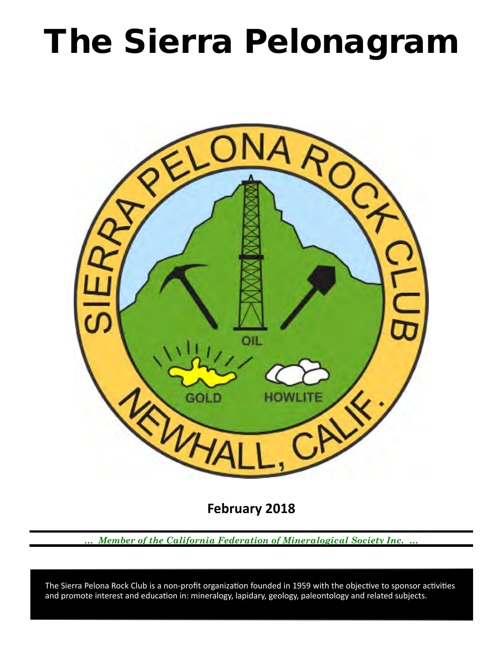# The Sierra Pelonagram



**February 2018**

*… Member of the California Federation of Mineralogical Society Inc. …*

 and promote interest and education in: mineralogy, lapidary, geology, paleontology and related subjects. The Sierra Pelona Rock Club is a non-profit organization founded in 1959 with the objective to sponsor activities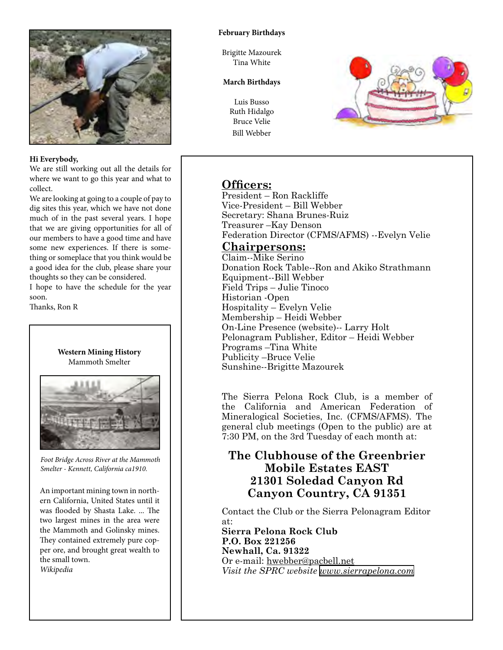

## **Hi Everybody,**

We are still working out all the details for where we want to go this year and what to collect.

We are looking at going to a couple of pay to dig sites this year, which we have not done much of in the past several years. I hope that we are giving opportunities for all of our members to have a good time and have some new experiences. If there is something or someplace that you think would be a good idea for the club, please share your thoughts so they can be considered.

I hope to have the schedule for the year soon.

Thanks, Ron R



*Foot Bridge Across River at the Mammoth Smelter - Kennett, California ca1910.*

An important mining town in northern California, United States until it was flooded by Shasta Lake. ... The two largest mines in the area were the Mammoth and Golinsky mines. They contained extremely pure copper ore, and brought great wealth to the small town. *Wikipedia*

## **February Birthdays**

Brigitte Mazourek Tina White

## **March Birthdays**

Luis Busso Ruth Hidalgo Bruce Velie Bill Webber



# **Officers:**

President – Ron Rackliffe Vice‑President – Bill Webber Secretary: Shana Brunes-Ruiz Treasurer –Kay Denson Federation Director (CFMS/AFMS) --Evelyn Velie

## **Chairpersons:**

Claim--Mike Serino Donation Rock Table--Ron and Akiko Strathmann Equipment--Bill Webber Field Trips – Julie Tinoco Historian ‑Open Hospitality – Evelyn Velie Membership – Heidi Webber On-Line Presence (website)-- Larry Holt Pelonagram Publisher, Editor – Heidi Webber Programs –Tina White Publicity –Bruce Velie Sunshine--Brigitte Mazourek

The Sierra Pelona Rock Club, is a member of the California and American Federation of Mineralogical Societies, Inc. (CFMS/AFMS). The general club meetings (Open to the public) are at 7:30 PM, on the 3rd Tuesday of each month at:

# **The Clubhouse of the Greenbrier Mobile Estates EAST 21301 Soledad Canyon Rd Canyon Country, CA 91351**

Contact the Club or the Sierra Pelonagram Editor at:

**Sierra Pelona Rock Club P.O. Box 221256 Newhall, Ca. 91322** Or e‑mail: hwebber@pacbell.net *Visit the SPRC website [www.sierrapelona.com](http://www.sierrapelona.com/)*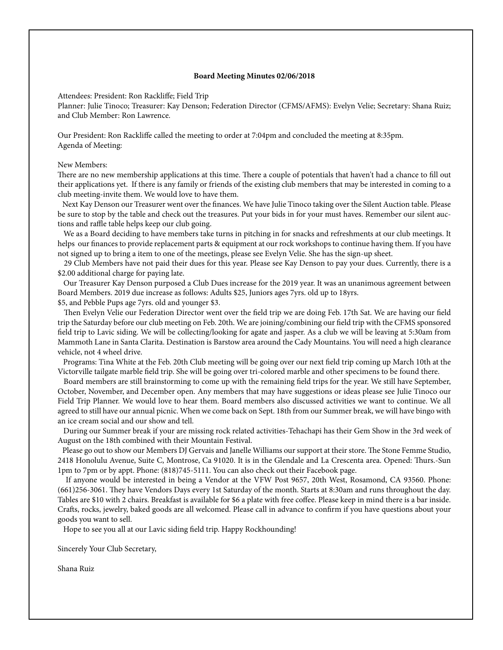## **Board Meeting Minutes 02/06/2018**

Attendees: President: Ron Rackliffe; Field Trip

Planner: Julie Tinoco; Treasurer: Kay Denson; Federation Director (CFMS/AFMS): Evelyn Velie; Secretary: Shana Ruiz; and Club Member: Ron Lawrence.

Our President: Ron Rackliffe called the meeting to order at 7:04pm and concluded the meeting at 8:35pm. Agenda of Meeting:

## New Members:

There are no new membership applications at this time. There a couple of potentials that haven't had a chance to fill out their applications yet. If there is any family or friends of the existing club members that may be interested in coming to a club meeting-invite them. We would love to have them.

 Next Kay Denson our Treasurer went over the finances. We have Julie Tinoco taking over the Silent Auction table. Please be sure to stop by the table and check out the treasures. Put your bids in for your must haves. Remember our silent auctions and raffle table helps keep our club going.

 We as a Board deciding to have members take turns in pitching in for snacks and refreshments at our club meetings. It helps our finances to provide replacement parts & equipment at our rock workshops to continue having them. If you have not signed up to bring a item to one of the meetings, please see Evelyn Velie. She has the sign-up sheet.

 29 Club Members have not paid their dues for this year. Please see Kay Denson to pay your dues. Currently, there is a \$2.00 additional charge for paying late.

 Our Treasurer Kay Denson purposed a Club Dues increase for the 2019 year. It was an unanimous agreement between Board Members. 2019 due increase as follows: Adults \$25, Juniors ages 7yrs. old up to 18yrs.

\$5, and Pebble Pups age 7yrs. old and younger \$3.

 Then Evelyn Velie our Federation Director went over the field trip we are doing Feb. 17th Sat. We are having our field trip the Saturday before our club meeting on Feb. 20th. We are joining/combining our field trip with the CFMS sponsored field trip to Lavic siding. We will be collecting/looking for agate and jasper. As a club we will be leaving at 5:30am from Mammoth Lane in Santa Clarita. Destination is Barstow area around the Cady Mountains. You will need a high clearance vehicle, not 4 wheel drive.

 Programs: Tina White at the Feb. 20th Club meeting will be going over our next field trip coming up March 10th at the Victorville tailgate marble field trip. She will be going over tri-colored marble and other specimens to be found there.

 Board members are still brainstorming to come up with the remaining field trips for the year. We still have September, October, November, and December open. Any members that may have suggestions or ideas please see Julie Tinoco our Field Trip Planner. We would love to hear them. Board members also discussed activities we want to continue. We all agreed to still have our annual picnic. When we come back on Sept. 18th from our Summer break, we will have bingo with an ice cream social and our show and tell.

 During our Summer break if your are missing rock related activities-Tehachapi has their Gem Show in the 3rd week of August on the 18th combined with their Mountain Festival.

 Please go out to show our Members DJ Gervais and Janelle Williams our support at their store. The Stone Femme Studio, 2418 Honolulu Avenue, Suite C, Montrose, Ca 91020. It is in the Glendale and La Crescenta area. Opened: Thurs.-Sun 1pm to 7pm or by appt. Phone: (818)745-5111. You can also check out their Facebook page.

 If anyone would be interested in being a Vendor at the VFW Post 9657, 20th West, Rosamond, CA 93560. Phone: (661)256-3061. They have Vendors Days every 1st Saturday of the month. Starts at 8:30am and runs throughout the day. Tables are \$10 with 2 chairs. Breakfast is available for \$6 a plate with free coffee. Please keep in mind there is a bar inside. Crafts, rocks, jewelry, baked goods are all welcomed. Please call in advance to confirm if you have questions about your goods you want to sell.

Hope to see you all at our Lavic siding field trip. Happy Rockhounding!

Sincerely Your Club Secretary,

Shana Ruiz